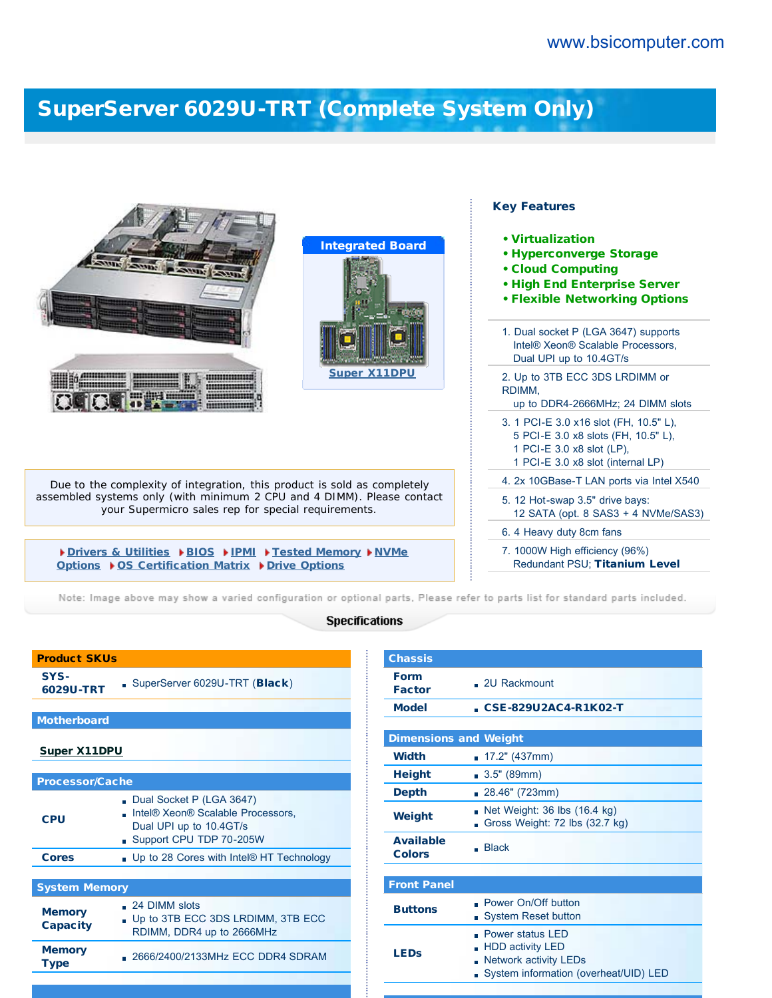## [SuperServer 6029U-TRT \(Complete System Only\)](http://www.bsicomputer.com/products/6029u-trt-16411)

| <b>Integrated Board</b><br><b>Super X11DPU</b>                                                                                | <b>Key Features</b><br>• Virtualization<br>• Hyperconverge Storage<br>• Cloud Computing<br>. High End Enterprise Server<br><b>• Flexible Networking Options</b><br>1. Dual socket P (LGA 3647) supports<br>Intel® Xeon® Scalable Processors,<br>Dual UPI up to 10.4GT/s<br>2. Up to 3TB ECC 3DS LRDIMM or<br>RDIMM,<br>up to DDR4-2666MHz; 24 DIMM slots<br>3. 1 PCI-E 3.0 x16 slot (FH, 10.5" L), |
|-------------------------------------------------------------------------------------------------------------------------------|----------------------------------------------------------------------------------------------------------------------------------------------------------------------------------------------------------------------------------------------------------------------------------------------------------------------------------------------------------------------------------------------------|
|                                                                                                                               | 5 PCI-E 3.0 x8 slots (FH, 10.5" L),<br>1 PCI-E 3.0 x8 slot (LP).<br>1 PCI-E 3.0 x8 slot (internal LP)                                                                                                                                                                                                                                                                                              |
| Due to the complexity of integration, this product is sold as completely                                                      | 4. 2x 10GBase-T LAN ports via Intel X540                                                                                                                                                                                                                                                                                                                                                           |
| assembled systems only (with minimum 2 CPU and 4 DIMM). Please contact<br>your Supermicro sales rep for special requirements. | 5. 12 Hot-swap 3.5" drive bays:<br>12 SATA (opt. 8 SAS3 + 4 NVMe/SAS3)                                                                                                                                                                                                                                                                                                                             |
|                                                                                                                               | 6. 4 Heavy duty 8cm fans                                                                                                                                                                                                                                                                                                                                                                           |
| Drivers & Utilities DBIOS DIPMI DFested Memory DNVMe<br>Options ▶ OS Certification Matrix ▶ Drive Options                     | 7. 1000W High efficiency (96%)<br>Redundant PSU; Titanium Level                                                                                                                                                                                                                                                                                                                                    |

Note: Image above may show a varied configuration or optional parts, Please refer to parts list for standard parts included.

## **Specifications**

| <b>Product SKUs</b>              |                                                                                                                     |  |  |  |
|----------------------------------|---------------------------------------------------------------------------------------------------------------------|--|--|--|
| SYS-<br>6029U-TRT                | SuperServer 6029U-TRT (Black)                                                                                       |  |  |  |
|                                  |                                                                                                                     |  |  |  |
| <b>Motherboard</b>               |                                                                                                                     |  |  |  |
| <b>Super X11DPU</b>              |                                                                                                                     |  |  |  |
|                                  |                                                                                                                     |  |  |  |
| <b>Processor/Cache</b>           |                                                                                                                     |  |  |  |
| CPU                              | Dual Socket P (LGA 3647)<br>Intel® Xeon® Scalable Processors,<br>Dual UPI up to 10.4GT/s<br>Support CPU TDP 70-205W |  |  |  |
| <b>Cores</b>                     | . Up to 28 Cores with Intel® HT Technology                                                                          |  |  |  |
|                                  |                                                                                                                     |  |  |  |
| <b>System Memory</b>             |                                                                                                                     |  |  |  |
| <b>Memory</b><br><b>Capacity</b> | $\Box$ 24 DIMM slots<br>Up to 3TB ECC 3DS LRDIMM, 3TB ECC<br>RDIMM, DDR4 up to 2666MHz                              |  |  |  |
| <b>Memory</b><br><b>Type</b>     | . 2666/2400/2133MHz ECC DDR4 SDRAM                                                                                  |  |  |  |

| <b>Chassis</b>                    |                                                                                                                                  |
|-----------------------------------|----------------------------------------------------------------------------------------------------------------------------------|
| <b>Form</b><br><b>Factor</b>      | . 2U Rackmount                                                                                                                   |
| <b>Model</b>                      | CSE-829U2AC4-R1K02-T                                                                                                             |
|                                   |                                                                                                                                  |
| <b>Dimensions and Weight</b>      |                                                                                                                                  |
| <b>Width</b>                      | 17.2" (437mm)                                                                                                                    |
| <b>Height</b>                     | $\blacksquare$ 3.5" (89mm)                                                                                                       |
| <b>Depth</b>                      | 28.46" (723mm)                                                                                                                   |
| Weight                            | Net Weight: 36 lbs (16.4 kg)<br>Gross Weight: 72 lbs (32.7 kg)                                                                   |
| <b>Available</b><br><b>Colors</b> | <b>Black</b>                                                                                                                     |
|                                   |                                                                                                                                  |
| <b>Front Panel</b>                |                                                                                                                                  |
| <b>Buttons</b>                    | - Power On/Off button<br><b>System Reset button</b><br>n                                                                         |
| <b>LEDs</b>                       | <b>Power status LED</b><br><b>HDD activity LED</b><br><b>Network activity LEDs</b><br>System information (overheat/UID) LED<br>n |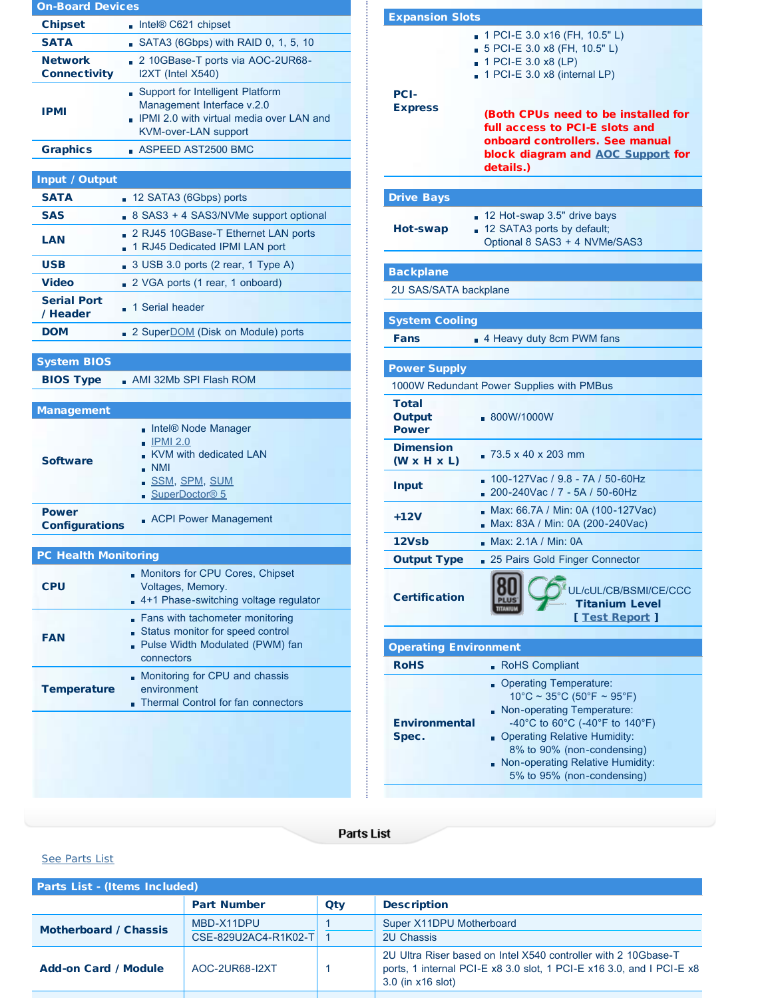| <b>On-Board Devices</b>               |                                                                                                                                      |  |  |
|---------------------------------------|--------------------------------------------------------------------------------------------------------------------------------------|--|--|
| <b>Chipset</b>                        | $\blacksquare$ Intel® C621 chipset                                                                                                   |  |  |
| <b>SATA</b>                           | SATA3 (6Gbps) with RAID 0, 1, 5, 10                                                                                                  |  |  |
| <b>Network</b><br><b>Connectivity</b> | 2 10GBase-T ports via AOC-2UR68-<br>I2XT (Intel X540)                                                                                |  |  |
| <b>IPMI</b>                           | Support for Intelligent Platform<br>Management Interface v.2.0<br>. IPMI 2.0 with virtual media over LAN and<br>KVM-over-LAN support |  |  |
| <b>Graphics</b>                       | ASPEED AST2500 BMC                                                                                                                   |  |  |
|                                       |                                                                                                                                      |  |  |
| Input / Output<br><b>SATA</b>         |                                                                                                                                      |  |  |
| <b>SAS</b>                            | 12 SATA3 (6Gbps) ports                                                                                                               |  |  |
| LAN                                   | 8 SAS3 + 4 SAS3/NVMe support optional<br>m.<br>2 RJ45 10GBase-T Ethernet LAN ports<br>1 RJ45 Dedicated IPMI LAN port                 |  |  |
| <b>USB</b>                            | 3 USB 3.0 ports (2 rear, 1 Type A)<br>Ĥ.                                                                                             |  |  |
| <b>Video</b>                          | 2 VGA ports (1 rear, 1 onboard)                                                                                                      |  |  |
| <b>Serial Port</b><br>/ Header        | 1 Serial header                                                                                                                      |  |  |
| <b>DOM</b>                            | 2 Super <b>DOM</b> (Disk on Module) ports                                                                                            |  |  |
|                                       |                                                                                                                                      |  |  |
| <b>System BIOS</b>                    |                                                                                                                                      |  |  |
| <b>BIOS Type</b>                      | $\blacksquare$ AMI 32Mb SPI Flash ROM                                                                                                |  |  |
| <b>Management</b>                     |                                                                                                                                      |  |  |
| <b>Software</b>                       | Intel® Node Manager<br>$\blacksquare$ IPMI 2.0<br>KVM with dedicated LAN<br><b>NMI</b><br>■ SSM, SPM, SUM<br>SuperDoctor® 5          |  |  |
| <b>Power</b><br><b>Configurations</b> | <b>ACPI Power Management</b>                                                                                                         |  |  |
| <b>PC Health Monitoring</b>           |                                                                                                                                      |  |  |
| <b>CPU</b>                            | Monitors for CPU Cores, Chipset<br>Voltages, Memory.<br>4+1 Phase-switching voltage regulator                                        |  |  |
| <b>FAN</b>                            | Fans with tachometer monitoring<br>Status monitor for speed control<br>Pulse Width Modulated (PWM) fan<br>connectors                 |  |  |
| <b>Temperature</b>                    | Monitoring for CPU and chassis<br>environment<br>Thermal Control for fan connectors                                                  |  |  |
|                                       |                                                                                                                                      |  |  |

| <b>Expansion Slots</b>                      |                                                                                                                                                                                                                                                                                          |
|---------------------------------------------|------------------------------------------------------------------------------------------------------------------------------------------------------------------------------------------------------------------------------------------------------------------------------------------|
| <b>PCI-</b><br><b>Express</b>               | 1 PCI-E 3.0 x16 (FH, 10.5" L)<br>m.<br>5 PCI-E 3.0 x8 (FH, 10.5" L)<br>1 PCI-E 3.0 x8 (LP)<br>1 PCI-E 3.0 x8 (internal LP)<br>(Both CPUs need to be installed for<br>full access to PCI-E slots and<br>onboard controllers. See manual<br>block diagram and AOC Support for<br>details.) |
| <b>Drive Bays</b>                           |                                                                                                                                                                                                                                                                                          |
| Hot-swap                                    | 12 Hot-swap 3.5" drive bays<br>12 SATA3 ports by default;<br>Optional 8 SAS3 + 4 NVMe/SAS3                                                                                                                                                                                               |
| <b>Backplane</b>                            |                                                                                                                                                                                                                                                                                          |
| 2U SAS/SATA backplane                       |                                                                                                                                                                                                                                                                                          |
| <b>System Cooling</b>                       |                                                                                                                                                                                                                                                                                          |
| Fans                                        | 4 Heavy duty 8cm PWM fans                                                                                                                                                                                                                                                                |
| <b>Power Supply</b>                         | 1000W Redundant Power Supplies with PMBus                                                                                                                                                                                                                                                |
| <b>Total</b><br>Output<br><b>Power</b>      | .800W/1000W                                                                                                                                                                                                                                                                              |
| <b>Dimension</b><br>$(W \times H \times L)$ | $-73.5 \times 40 \times 203$ mm                                                                                                                                                                                                                                                          |
| <b>Input</b>                                | 100-127Vac / 9.8 - 7A / 50-60Hz<br>200-240Vac / 7 - 5A / 50-60Hz                                                                                                                                                                                                                         |
| +12V                                        | Max: 66.7A / Min: 0A (100-127Vac)<br>Max: 83A / Min: 0A (200-240Vac)                                                                                                                                                                                                                     |
| 12Vsb                                       | Max: 2.1A / Min: 0A                                                                                                                                                                                                                                                                      |
| <b>Output Type</b>                          | 25 Pairs Gold Finger Connector                                                                                                                                                                                                                                                           |
| <b>Certification</b>                        | JL/cUL/CB/BSMI/CE/CCC<br><b>Titanium Level</b><br>[ Test Report ]                                                                                                                                                                                                                        |
| <b>Operating Environment</b>                |                                                                                                                                                                                                                                                                                          |
| <b>RoHS</b>                                 | <b>RoHS Compliant</b><br>ň                                                                                                                                                                                                                                                               |
| <b>Environmental</b><br>Spec.               | <b>Operating Temperature:</b><br>$10^{\circ}$ C ~ 35°C (50°F ~ 95°F)<br>Non-operating Temperature:<br>-40°C to 60°C (-40°F to 140°F)<br><b>Operating Relative Humidity:</b><br>8% to 90% (non-condensing)<br>Non-operating Relative Humidity:<br>5% to 95% (non-condensing)              |

## **Parts List**

## See Parts List

| <b>Parts List - (Items Included)</b> |                                    |     |                                                                                                                                                             |
|--------------------------------------|------------------------------------|-----|-------------------------------------------------------------------------------------------------------------------------------------------------------------|
|                                      | <b>Part Number</b>                 | Qty | <b>Description</b>                                                                                                                                          |
| <b>Motherboard / Chassis</b>         | MBD-X11DPU<br>CSE-829U2AC4-R1K02-T |     | Super X11DPU Motherboard<br><b>2U Chassis</b>                                                                                                               |
| <b>Add-on Card / Module</b>          | AOC-2UR68-12XT                     |     | 2U Ultra Riser based on Intel X540 controller with 2 10Gbase-T<br>ports, 1 internal PCI-E x8 3.0 slot, 1 PCI-E x16 3.0, and I PCI-E x8<br>3.0 (in x16 slot) |